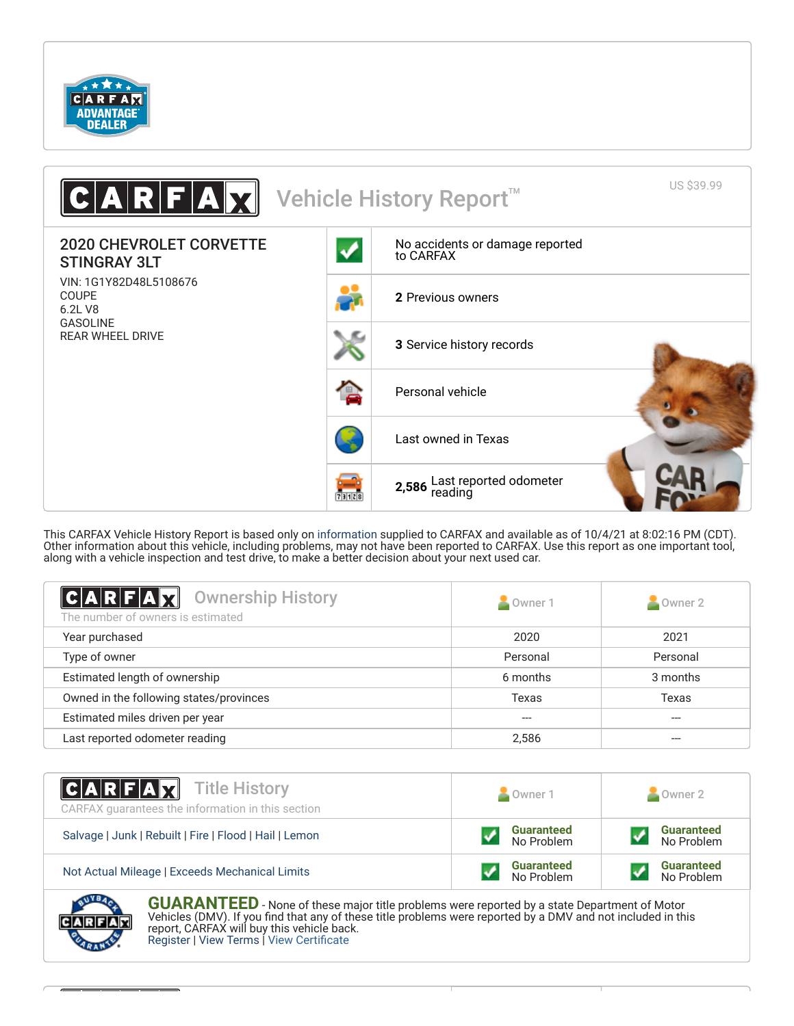



This CARFAX Vehicle History Report is based only on [information](http://www.carfax.com/company/vhr-data-sources) supplied to CARFAX and available as of 10/4/21 at 8:02:16 PM (CDT). Other information about this vehicle, including problems, may not have been reported to CARFAX. Use this report as one important tool, along with a vehicle inspection and test drive, to make a better decision about your next used car.

<span id="page-0-1"></span>

| C A R F A X <br><b>Ownership History</b><br>The number of owners is estimated | Owner 1  | Owner 2  |
|-------------------------------------------------------------------------------|----------|----------|
| Year purchased                                                                | 2020     | 2021     |
| Type of owner                                                                 | Personal | Personal |
| Estimated length of ownership                                                 | 6 months | 3 months |
| Owned in the following states/provinces                                       | Texas    | Texas    |
| Estimated miles driven per year                                               |          |          |
| Last reported odometer reading                                                | 2,586    |          |

| <b>CARFAX</b> Title History<br>CARFAX quarantees the information in this section | Owner 1                         | Owner 2                         |
|----------------------------------------------------------------------------------|---------------------------------|---------------------------------|
| Salvage   Junk   Rebuilt   Fire   Flood   Hail   Lemon                           | <b>Guaranteed</b><br>No Problem | <b>Guaranteed</b><br>No Problem |
| Not Actual Mileage   Exceeds Mechanical Limits                                   | <b>Guaranteed</b><br>No Problem | <b>Guaranteed</b><br>No Problem |
| <b>AVER</b>                                                                      |                                 |                                 |

<span id="page-0-0"></span>**GUARANTEED** - None of these major title problems were reported by a state Department of Motor Vehicles (DMV). If you find that any of these title problems were reported by a DMV and not included in this report, CARFAX will buy this vehicle back. [Register](https://www.carfax.com/Service/bbg) | [View Terms](http://www.carfaxonline.com/legal/bbgTerms) | [View Certificate](https://www.carfaxonline.com/vhrs/1G1Y82D48L5108676)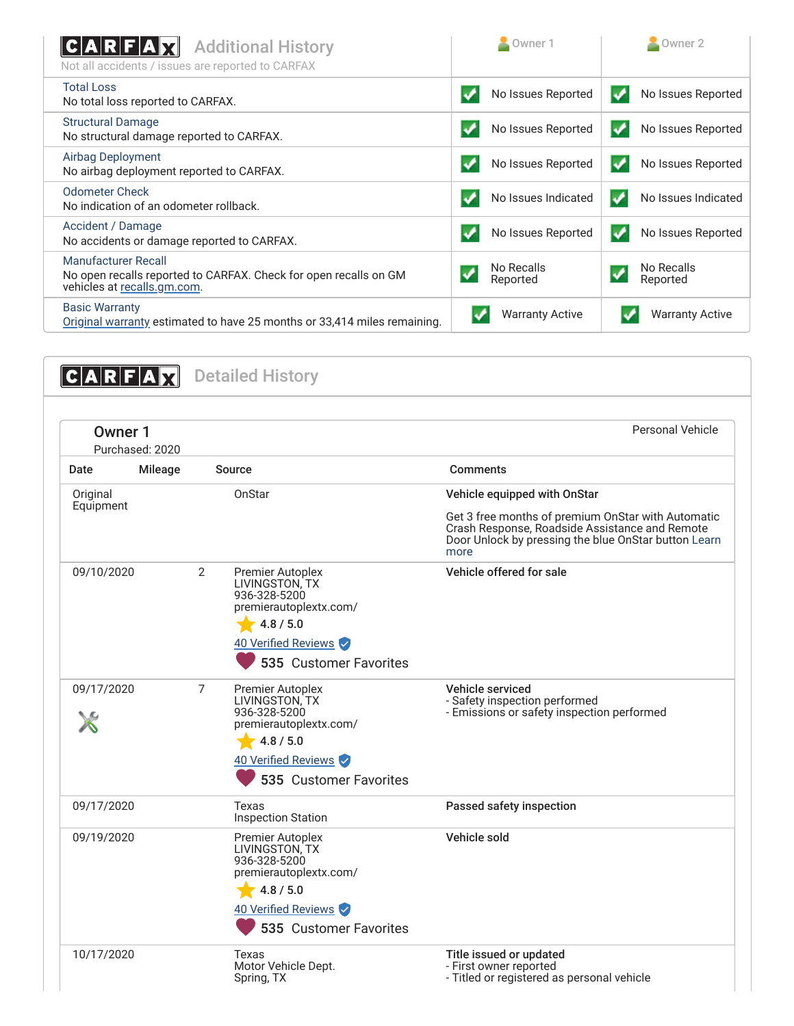| <b>Additional History</b><br><b>CARFA</b><br>Not all accidents / issues are reported to CARFAX                                | Owner 1                                     | $\sim$ Owner 2           |
|-------------------------------------------------------------------------------------------------------------------------------|---------------------------------------------|--------------------------|
| <b>Total Loss</b><br>No total loss reported to CARFAX.                                                                        | No Issues Reported                          | No Issues Reported<br>✔  |
| <b>Structural Damage</b><br>No structural damage reported to CARFAX.                                                          | No Issues Reported                          | No Issues Reported<br>✔  |
| <b>Airbag Deployment</b><br>No airbag deployment reported to CARFAX.                                                          | No Issues Reported                          | No Issues Reported<br>✓  |
| Odometer Check<br>No indication of an odometer rollback.                                                                      | $\blacktriangledown$<br>No Issues Indicated | No Issues Indicated<br>✔ |
| Accident / Damage<br>No accidents or damage reported to CARFAX.                                                               | No Issues Reported                          | No Issues Reported<br>✔  |
| <b>Manufacturer Recall</b><br>No open recalls reported to CARFAX. Check for open recalls on GM<br>vehicles at recalls.gm.com. | No Recalls<br>Reported                      | No Recalls<br>Reported   |
| <b>Basic Warranty</b><br>Original warranty estimated to have 25 months or 33,414 miles remaining.                             | <b>Warranty Active</b>                      | <b>Warranty Active</b>   |

<span id="page-1-0"></span>

|            |                 |                | <b>CARFAX</b> Detailed History                                                                                                                    |                                                                                                                                                                      |
|------------|-----------------|----------------|---------------------------------------------------------------------------------------------------------------------------------------------------|----------------------------------------------------------------------------------------------------------------------------------------------------------------------|
| Owner 1    | Purchased: 2020 |                |                                                                                                                                                   | Personal Vehicle                                                                                                                                                     |
| Date       | Mileage         |                | Source                                                                                                                                            | <b>Comments</b>                                                                                                                                                      |
| Original   |                 | OnStar         |                                                                                                                                                   | Vehicle equipped with OnStar                                                                                                                                         |
| Equipment  |                 |                |                                                                                                                                                   | Get 3 free months of premium OnStar with Automatic<br>Crash Response, Roadside Assistance and Remote<br>Door Unlock by pressing the blue OnStar button Learn<br>more |
| 09/10/2020 |                 | $\overline{2}$ | Premier Autoplex<br>LIVINGSTON, TX<br>936-328-5200<br>premierautoplextx.com/<br>4.8 / 5.0<br>40 Verified Reviews<br>535 Customer Favorites        | Vehicle offered for sale                                                                                                                                             |
| 09/17/2020 |                 | $\overline{7}$ | Premier Autoplex<br>LIVINGSTON, TX<br>936-328-5200<br>premierautoplextx.com/<br>4.8 / 5.0<br>40 Verified Reviews<br>535 Customer Favorites        | Vehicle serviced<br>- Safety inspection performed<br>- Emissions or safety inspection performed                                                                      |
| 09/17/2020 |                 |                | Texas<br><b>Inspection Station</b>                                                                                                                | Passed safety inspection                                                                                                                                             |
| 09/19/2020 |                 |                | <b>Premier Autoplex</b><br>LIVINGSTON, TX<br>936-328-5200<br>premierautoplextx.com/<br>4.8 / 5.0<br>40 Verified Reviews<br>535 Customer Favorites | Vehicle sold                                                                                                                                                         |
| 10/17/2020 |                 |                | Texas<br>Motor Vehicle Dept.<br>Spring, TX                                                                                                        | Title issued or updated<br>- First owner reported<br>- Titled or registered as personal vehicle                                                                      |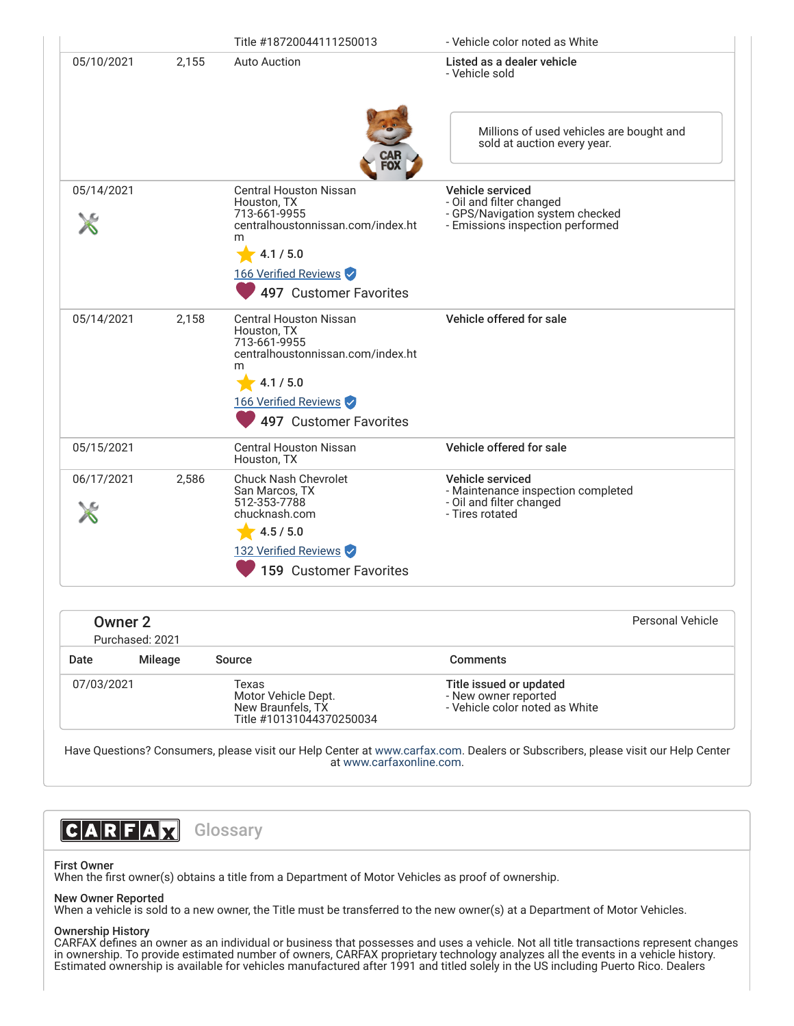|                |       | Title #18720044111250013                                                                                                                                              | - Vehicle color noted as White                                                                                      |
|----------------|-------|-----------------------------------------------------------------------------------------------------------------------------------------------------------------------|---------------------------------------------------------------------------------------------------------------------|
| 05/10/2021     | 2,155 | <b>Auto Auction</b>                                                                                                                                                   | Listed as a dealer vehicle<br>- Vehicle sold                                                                        |
|                |       |                                                                                                                                                                       | Millions of used vehicles are bought and<br>sold at auction every year.                                             |
| 05/14/2021     |       | <b>Central Houston Nissan</b><br>Houston, TX<br>713-661-9955<br>centralhoustonnissan.com/index.ht<br>m<br>4.1 / 5.0<br>166 Verified Reviews<br>497 Customer Favorites | Vehicle serviced<br>- Oil and filter changed<br>- GPS/Navigation system checked<br>- Emissions inspection performed |
| 05/14/2021     | 2,158 | <b>Central Houston Nissan</b><br>Houston, TX<br>713-661-9955<br>centralhoustonnissan.com/index.ht<br>m<br>4.1 / 5.0<br>166 Verified Reviews<br>497 Customer Favorites | Vehicle offered for sale                                                                                            |
| 05/15/2021     |       | <b>Central Houston Nissan</b><br>Houston, TX                                                                                                                          | Vehicle offered for sale                                                                                            |
| 06/17/2021     | 2,586 | <b>Chuck Nash Chevrolet</b><br>San Marcos, TX<br>512-353-7788<br>chucknash.com<br>4.5 / 5.0<br>132 Verified Reviews<br>159 Customer Favorites                         | Vehicle serviced<br>- Maintenance inspection completed<br>- Oil and filter changed<br>- Tires rotated               |
| <b>Owner 2</b> |       |                                                                                                                                                                       | <b>Personal Vehicle</b>                                                                                             |

| Purchased: 2021 |         |                                                                               |                                                                                   |  |
|-----------------|---------|-------------------------------------------------------------------------------|-----------------------------------------------------------------------------------|--|
| Date            | Mileage | Source                                                                        | <b>Comments</b>                                                                   |  |
| 07/03/2021      |         | Texas<br>Motor Vehicle Dept.<br>New Braunfels, TX<br>Title #10131044370250034 | Title issued or updated<br>- New owner reported<br>- Vehicle color noted as White |  |

Have Questions? Consumers, please visit our Help Center at [www.carfax.com](http://www.carfax.com/help). Dealers or Subscribers, please visit our Help Center at [www.carfaxonline.com.](http://www.carfaxonline.com/)



## First Owner

When the first owner(s) obtains a title from a Department of Motor Vehicles as proof of ownership.

## New Owner Reported

When a vehicle is sold to a new owner, the Title must be transferred to the new owner(s) at a Department of Motor Vehicles.

## Ownership History

CARFAX defines an owner as an individual or business that possesses and uses a vehicle. Not all title transactions represent changes in ownership. To provide estimated number of owners, CARFAX proprietary technology analyzes all the events in a vehicle history. Estimated ownership is available for vehicles manufactured after 1991 and titled solely in the US including Puerto Rico. Dealers